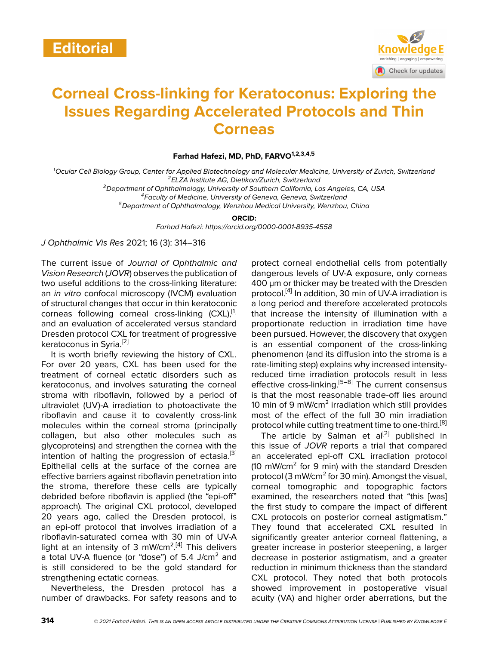

## **Corneal Cross-linking for Keratoconus: Exploring the Issues Regarding Accelerated Protocols and Thin Corneas**

**Farhad Hafezi, MD, PhD, FARVO1,2,3,4,5**

*<sup>1</sup>Ocular Cell Biology Group, Center for Applied Biotechnology and Molecular Medicine, University of Zurich, Switzerland <sup>2</sup>ELZA Institute AG, Dietikon/Zurich, Switzerland*

*<sup>3</sup>Department of Ophthalmology, University of Southern California, Los Angeles, CA, USA*

*<sup>4</sup>Faculty of Medicine, University of Geneva, Geneva, Switzerland*

*<sup>5</sup>Department of Ophthalmology, Wenzhou Medical University, Wenzhou, China*

**ORCID:**

*Farhad Hafezi: https://orcid.org/0000-0001-8935-4558*

*J Ophthalmic Vis Res* 2021; 16 (3): 314–316

The current issue of *Journal of Ophthalmic and Vision Research* (*JOVR*) observes the publication of two useful additions to the cross-linking literature: an *in vitro* confocal microscopy (IVCM) evaluation of structural changes that occur in thin keratoconic corneas following corneal cross-linking (CXL),<sup>[[1](#page-1-0)]</sup> and an evaluation of accelerated versus standard Dresden protocol CXL for treatment of progressive keratoconus in Syria.[\[2\]](#page-1-1)

It is worth briefly reviewing the history of CXL. For over 20 years, CXL has been used for the treatment of corneal ectatic disorders such as keratoconus, and involves saturating the corneal stroma with riboflavin, followed by a period of ultraviolet (UV)-A irradiation to photoactivate the riboflavin and cause it to covalently cross-link molecules within the corneal stroma (principally collagen, but also other molecules such as glycoproteins) and strengthen the cornea with the intention of halting the progression of ectasia.<sup>[\[3](#page-1-2)]</sup> Epithelial cells at the surface of the cornea are effective barriers against riboflavin penetration into the stroma, therefore these cells are typically debrided before riboflavin is applied (the "epi-off" approach). The original CXL protocol, developed 20 years ago, called the Dresden protocol, is an epi-off protocol that involves irradiation of a riboflavin-saturated cornea with 30 min of UV-A light at an intensity of 3 mW/cm<sup>2[[4\]](#page-1-3)</sup> This delivers a total UV-A fluence (or "dose") of 5.4 J/cm<sup>2</sup> and is still considered to be the gold standard for strengthening ectatic corneas.

Nevertheless, the Dresden protocol has a number of drawbacks. For safety reasons and to protect corneal endothelial cells from potentially dangerous levels of UV-A exposure, only corneas 400 µm or thicker may be treated with the Dresden protocol.<sup>[\[4\]](#page-1-3)</sup> In addition, 30 min of UV-A irradiation is a long period and therefore accelerated protocols that increase the intensity of illumination with a proportionate reduction in irradiation time have been pursued. However, the discovery that oxygen is an essential component of the cross-linking phenomenon (and its diffusion into the stroma is a rate-limiting step) explains why increased intensityreduced time irradiation protocols result in less effective cross-linking.<sup>[\[5](#page-1-4)[–8\]](#page-1-5)</sup> The current consensus is that the most reasonable trade-off lies around 10 min of 9 mW/cm² irradiation which still provides most of the effect of the full 30 min irradiation protocol while cutting treatment time to one-third.<sup>[[8](#page-1-5)]</sup>

The article by Salman et  $al^{[2]}$  $al^{[2]}$  $al^{[2]}$  published in this issue of *JOVR* reports a trial that compared an accelerated epi-off CXL irradiation protocol (10 mW/cm² for 9 min) with the standard Dresden protocol (3 mW/cm² for 30 min). Amongst the visual, corneal tomographic and topographic factors examined, the researchers noted that "this [was] the first study to compare the impact of different CXL protocols on posterior corneal astigmatism." They found that accelerated CXL resulted in significantly greater anterior corneal flattening, a greater increase in posterior steepening, a larger decrease in posterior astigmatism, and a greater reduction in minimum thickness than the standard CXL protocol. They noted that both protocols showed improvement in postoperative visual acuity (VA) and higher order aberrations, but the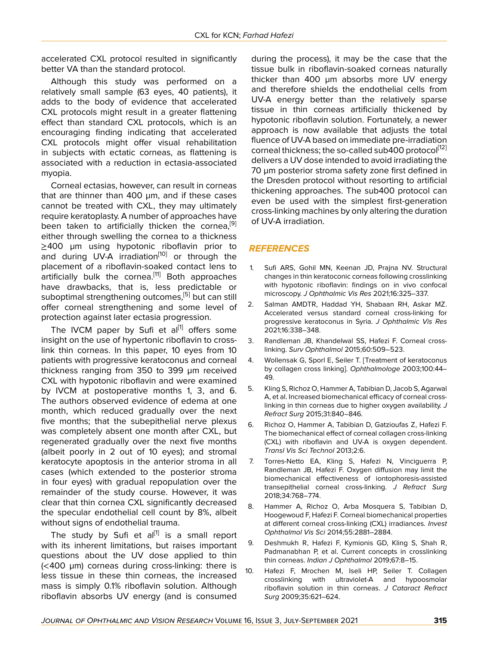accelerated CXL protocol resulted in significantly better VA than the standard protocol.

Although this study was performed on a relatively small sample (63 eyes, 40 patients), it adds to the body of evidence that accelerated CXL protocols might result in a greater flattening effect than standard CXL protocols, which is an encouraging finding indicating that accelerated CXL protocols might offer visual rehabilitation in subjects with ectatic corneas, as flattening is associated with a reduction in ectasia-associated myopia.

Corneal ectasias, however, can result in corneas that are thinner than 400 µm, and if these cases cannot be treated with CXL, they may ultimately require keratoplasty. A number of approaches have been taken to artificially thicken the cornea,<sup>[[9](#page-1-6)]</sup> either through swelling the cornea to a thickness ≥400 µm using hypotonic riboflavin prior to and during UV-A irradiation<sup>[[10](#page-1-7)]</sup> or through the placement of a riboflavin-soaked contact lens to artificially bulk the cornea.<sup>[\[11](#page-2-0)]</sup> Both approaches have drawbacks, that is, less predictable or suboptimal strengthening outcomes,<sup>[[5](#page-1-4)]</sup> but can still offer corneal strengthening and some level of protection against later ectasia progression.

The IVCM paper by Sufi et al<sup>[\[1\]](#page-1-0)</sup> offers some insight on the use of hypertonic riboflavin to crosslink thin corneas. In this paper, 10 eyes from 10 patients with progressive keratoconus and corneal thickness ranging from 350 to 399 µm received CXL with hypotonic riboflavin and were examined by IVCM at postoperative months 1, 3, and 6. The authors observed evidence of edema at one month, which reduced gradually over the next five months; that the subepithelial nerve plexus was completely absent one month after CXL, but regenerated gradually over the next five months (albeit poorly in 2 out of 10 eyes); and stromal keratocyte apoptosis in the anterior stroma in all cases (which extended to the posterior stroma in four eyes) with gradual repopulation over the remainder of the study course. However, it was clear that thin cornea CXL significantly decreased the specular endothelial cell count by 8%, albeit without signs of endothelial trauma.

The study by Sufi et al<sup>[[1](#page-1-0)]</sup> is a small report with its inherent limitations, but raises important questions about the UV dose applied to thin (<400 µm) corneas during cross-linking: there is less tissue in these thin corneas, the increased mass is simply 0.1% riboflavin solution. Although riboflavin absorbs UV energy (and is consumed

during the process), it may be the case that the tissue bulk in riboflavin-soaked corneas naturally thicker than 400 µm absorbs more UV energy and therefore shields the endothelial cells from UV-A energy better than the relatively sparse tissue in thin corneas artificially thickened by hypotonic riboflavin solution. Fortunately, a newer approach is now available that adjusts the total fluence of UV-A based on immediate pre-irradiation corneal thickness; the so-called sub400 protocol<sup>[\[12](#page-2-1)]</sup> delivers a UV dose intended to avoid irradiating the 70 µm posterior stroma safety zone first defined in the Dresden protocol without resorting to artificial thickening approaches. The sub400 protocol can even be used with the simplest first-generation cross-linking machines by only altering the duration of UV-A irradiation.

## *REFERENCES*

- <span id="page-1-0"></span>1. Sufi ARS, Gohil MN, Keenan JD, Prajna NV. Structural changes in thin keratoconic corneas following crosslinking with hypotonic riboflavin: findings on in vivo confocal microscopy. *J Ophthalmic Vis Res* 2021;16:325–337.
- <span id="page-1-1"></span>2. Salman AMDTR, Haddad YH, Shabaan RH, Askar MZ. Accelerated versus standard corneal cross-linking for progressive keratoconus in Syria. *J Ophthalmic Vis Res* 2021;16:338–348.
- <span id="page-1-2"></span>3. Randleman JB, Khandelwal SS, Hafezi F. Corneal crosslinking. *Surv Ophthalmol* 2015;60:509–523.
- <span id="page-1-3"></span>4. Wollensak G, Sporl E, Seiler T. [Treatment of keratoconus by collagen cross linking]. *Ophthalmologe* 2003;100:44– 49.
- <span id="page-1-4"></span>5. Kling S, Richoz O, Hammer A, Tabibian D, Jacob S, Agarwal A, et al. Increased biomechanical efficacy of corneal crosslinking in thin corneas due to higher oxygen availability. *J Refract Surg* 2015;31:840–846.
- 6. Richoz O, Hammer A, Tabibian D, Gatzioufas Z, Hafezi F. The biomechanical effect of corneal collagen cross-linking (CXL) with riboflavin and UV-A is oxygen dependent. *Transl Vis Sci Technol* 2013;2:6.
- 7. Torres-Netto EA, Kling S, Hafezi N, Vinciguerra P, Randleman JB, Hafezi F. Oxygen diffusion may limit the biomechanical effectiveness of iontophoresis-assisted transepithelial corneal cross-linking. *J Refract Surg* 2018;34:768–774.
- <span id="page-1-5"></span>8. Hammer A, Richoz O, Arba Mosquera S, Tabibian D, Hoogewoud F, Hafezi F. Corneal biomechanical properties at different corneal cross-linking (CXL) irradiances. *Invest Ophthalmol Vis Sci* 2014;55:2881–2884.
- <span id="page-1-6"></span>9. Deshmukh R, Hafezi F, Kymionis GD, Kling S, Shah R, Padmanabhan P, et al. Current concepts in crosslinking thin corneas. *Indian J Ophthalmol* 2019;67:8–15.
- <span id="page-1-7"></span>10. Hafezi F, Mrochen M, Iseli HP, Seiler T. Collagen crosslinking with ultraviolet-A and hypoosmolar riboflavin solution in thin corneas. *J Cataract Refract Surg* 2009;35:621–624.